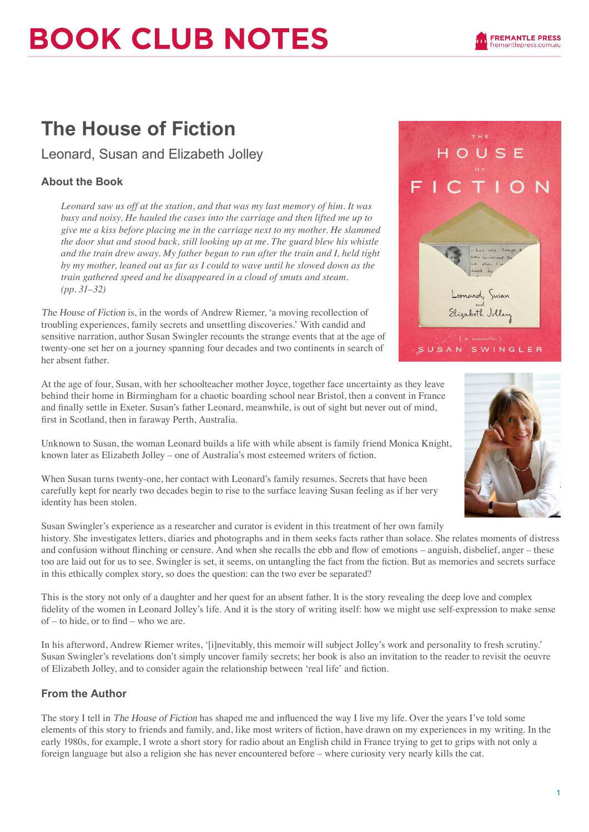# **BOOK CLUB NOTES**

## **The House of Fiction**

Leonard, Susan and Elizabeth Jolley

### **About the Book**

*Leonard saw us off at the station, and that was my last memory of him. It was busy and noisy. He hauled the cases into the carriage and then lifted me up to give me a kiss before placing me in the carriage next to my mother. He slammed the door shut and stood back, still looking up at me. The guard blew his whistle and the train drew away. My father began to run after the train and I, held tight by my mother, leaned out as far as I could to wave until he slowed down as the train gathered speed and he disappeared in a cloud of smuts and steam. (pp. 31–32)*

The House of Fiction is, in the words of Andrew Riemer, 'a moving recollection of troubling experiences, family secrets and unsettling discoveries.' With candid and sensitive narration, author Susan Swingler recounts the strange events that at the age of twenty-one set her on a journey spanning four decades and two continents in search of her absent father.

At the age of four, Susan, with her schoolteacher mother Joyce, together face uncertainty as they leave behind their home in Birmingham for a chaotic boarding school near Bristol, then a convent in France and finally settle in Exeter. Susan's father Leonard, meanwhile, is out of sight but never out of mind, first in Scotland, then in faraway Perth, Australia.

Unknown to Susan, the woman Leonard builds a life with while absent is family friend Monica Knight, known later as Elizabeth Jolley – one of Australia's most esteemed writers of fiction.

When Susan turns twenty-one, her contact with Leonard's family resumes. Secrets that have been carefully kept for nearly two decades begin to rise to the surface leaving Susan feeling as if her very identity has been stolen.

Susan Swingler's experience as a researcher and curator is evident in this treatment of her own family history. She investigates letters, diaries and photographs and in them seeks facts rather than solace. She relates moments of distress and confusion without flinching or censure. And when she recalls the ebb and flow of emotions – anguish, disbelief, anger – these too are laid out for us to see. Swingler is set, it seems, on untangling the fact from the fiction. But as memories and secrets surface in this ethically complex story, so does the question: can the two ever be separated?

This is the story not only of a daughter and her quest for an absent father. It is the story revealing the deep love and complex fidelity of the women in Leonard Jolley's life. And it is the story of writing itself: how we might use self-expression to make sense of – to hide, or to find – who we are.

In his afterword, Andrew Riemer writes, '[i]nevitably, this memoir will subject Jolley's work and personality to fresh scrutiny.' Susan Swingler's revelations don't simply uncover family secrets; her book is also an invitation to the reader to revisit the oeuvre of Elizabeth Jolley, and to consider again the relationship between 'real life' and fiction.

#### **From the Author**

The story I tell in The House of Fiction has shaped me and influenced the way I live my life. Over the years I've told some elements of this story to friends and family, and, like most writers of fiction, have drawn on my experiences in my writing. In the early 1980s, for example, I wrote a short story for radio about an English child in France trying to get to grips with not only a foreign language but also a religion she has never encountered before – where curiosity very nearly kills the cat.



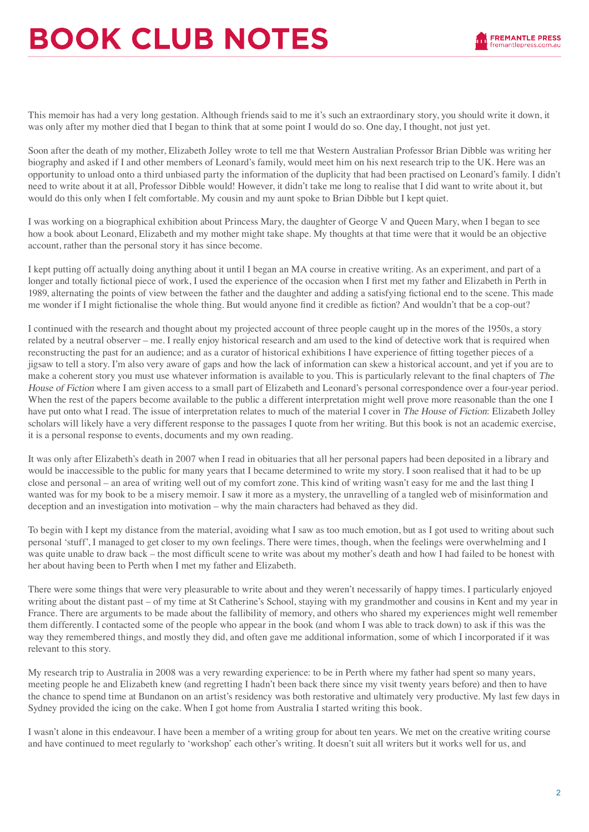# **BOOK CLUB NOTES**



This memoir has had a very long gestation. Although friends said to me it's such an extraordinary story, you should write it down, it was only after my mother died that I began to think that at some point I would do so. One day, I thought, not just yet.

Soon after the death of my mother, Elizabeth Jolley wrote to tell me that Western Australian Professor Brian Dibble was writing her biography and asked if I and other members of Leonard's family, would meet him on his next research trip to the UK. Here was an opportunity to unload onto a third unbiased party the information of the duplicity that had been practised on Leonard's family. I didn't need to write about it at all, Professor Dibble would! However, it didn't take me long to realise that I did want to write about it, but would do this only when I felt comfortable. My cousin and my aunt spoke to Brian Dibble but I kept quiet.

I was working on a biographical exhibition about Princess Mary, the daughter of George V and Queen Mary, when I began to see how a book about Leonard, Elizabeth and my mother might take shape. My thoughts at that time were that it would be an objective account, rather than the personal story it has since become.

I kept putting off actually doing anything about it until I began an MA course in creative writing. As an experiment, and part of a longer and totally fictional piece of work, I used the experience of the occasion when I first met my father and Elizabeth in Perth in 1989, alternating the points of view between the father and the daughter and adding a satisfying fictional end to the scene. This made me wonder if I might fictionalise the whole thing. But would anyone find it credible as fiction? And wouldn't that be a cop-out?

I continued with the research and thought about my projected account of three people caught up in the mores of the 1950s, a story related by a neutral observer – me. I really enjoy historical research and am used to the kind of detective work that is required when reconstructing the past for an audience; and as a curator of historical exhibitions I have experience of fitting together pieces of a jigsaw to tell a story. I'm also very aware of gaps and how the lack of information can skew a historical account, and yet if you are to make a coherent story you must use whatever information is available to you. This is particularly relevant to the final chapters of The House of Fiction where I am given access to a small part of Elizabeth and Leonard's personal correspondence over a four-year period. When the rest of the papers become available to the public a different interpretation might well prove more reasonable than the one I have put onto what I read. The issue of interpretation relates to much of the material I cover in The House of Fiction: Elizabeth Jolley scholars will likely have a very different response to the passages I quote from her writing. But this book is not an academic exercise, it is a personal response to events, documents and my own reading.

It was only after Elizabeth's death in 2007 when I read in obituaries that all her personal papers had been deposited in a library and would be inaccessible to the public for many years that I became determined to write my story. I soon realised that it had to be up close and personal – an area of writing well out of my comfort zone. This kind of writing wasn't easy for me and the last thing I wanted was for my book to be a misery memoir. I saw it more as a mystery, the unravelling of a tangled web of misinformation and deception and an investigation into motivation – why the main characters had behaved as they did.

To begin with I kept my distance from the material, avoiding what I saw as too much emotion, but as I got used to writing about such personal 'stuff', I managed to get closer to my own feelings. There were times, though, when the feelings were overwhelming and I was quite unable to draw back – the most difficult scene to write was about my mother's death and how I had failed to be honest with her about having been to Perth when I met my father and Elizabeth.

There were some things that were very pleasurable to write about and they weren't necessarily of happy times. I particularly enjoyed writing about the distant past – of my time at St Catherine's School, staying with my grandmother and cousins in Kent and my year in France. There are arguments to be made about the fallibility of memory, and others who shared my experiences might well remember them differently. I contacted some of the people who appear in the book (and whom I was able to track down) to ask if this was the way they remembered things, and mostly they did, and often gave me additional information, some of which I incorporated if it was relevant to this story.

My research trip to Australia in 2008 was a very rewarding experience: to be in Perth where my father had spent so many years, meeting people he and Elizabeth knew (and regretting I hadn't been back there since my visit twenty years before) and then to have the chance to spend time at Bundanon on an artist's residency was both restorative and ultimately very productive. My last few days in Sydney provided the icing on the cake. When I got home from Australia I started writing this book.

I wasn't alone in this endeavour. I have been a member of a writing group for about ten years. We met on the creative writing course and have continued to meet regularly to 'workshop' each other's writing. It doesn't suit all writers but it works well for us, and